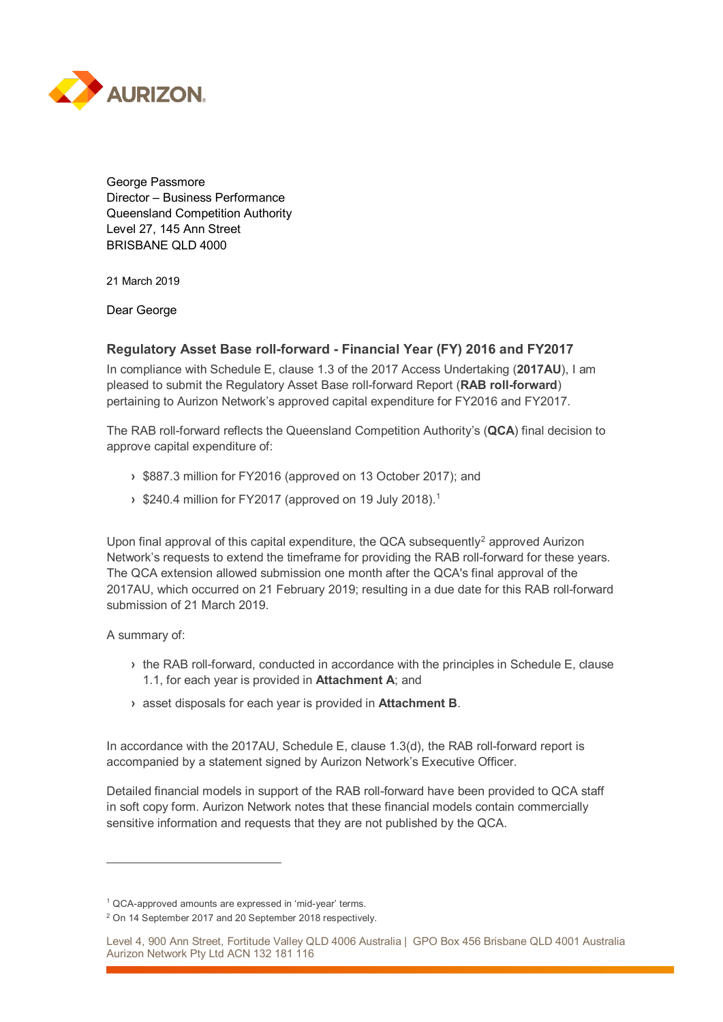

George Passmore Director – Business Performance Queensland Competition Authority Level 27, 145 Ann Street BRISBANE QLD 4000

21 March 2019

Dear George

## **Regulatory Asset Base roll-forward - Financial Year (FY) 2016 and FY2017**

In compliance with Schedule E, clause 1.3 of the 2017 Access Undertaking (**2017AU**), I am pleased to submit the Regulatory Asset Base roll-forward Report (**RAB roll-forward**) pertaining to Aurizon Network's approved capital expenditure for FY2016 and FY2017.

The RAB roll-forward reflects the Queensland Competition Authority's (**QCA**) final decision to approve capital expenditure of:

- **›** \$887.3 million for FY2016 (approved on 13 October 2017); and
- **›** \$240.4 million for FY2017 (approved on 19 July 2018). [1](#page-0-0)

Upon final approval of this capital expenditure, the QCA subsequently<sup>[2](#page-0-1)</sup> approved Aurizon Network's requests to extend the timeframe for providing the RAB roll-forward for these years. The QCA extension allowed submission one month after the QCA's final approval of the 2017AU, which occurred on 21 February 2019; resulting in a due date for this RAB roll-forward submission of 21 March 2019.

A summary of:

 $\overline{a}$ 

- **›** the RAB roll-forward, conducted in accordance with the principles in Schedule E, clause 1.1, for each year is provided in **Attachment A**; and
- **›** asset disposals for each year is provided in **Attachment B**.

In accordance with the 2017AU, Schedule E, clause 1.3(d), the RAB roll-forward report is accompanied by a statement signed by Aurizon Network's Executive Officer.

Detailed financial models in support of the RAB roll-forward have been provided to QCA staff in soft copy form. Aurizon Network notes that these financial models contain commercially sensitive information and requests that they are not published by the QCA.

<span id="page-0-0"></span><sup>1</sup> QCA-approved amounts are expressed in 'mid-year' terms.

<span id="page-0-1"></span><sup>2</sup> On 14 September 2017 and 20 September 2018 respectively.

Level 4, 900 Ann Street, Fortitude Valley QLD 4006 Australia | GPO Box 456 Brisbane QLD 4001 Australia Aurizon Network Pty Ltd ACN 132 181 116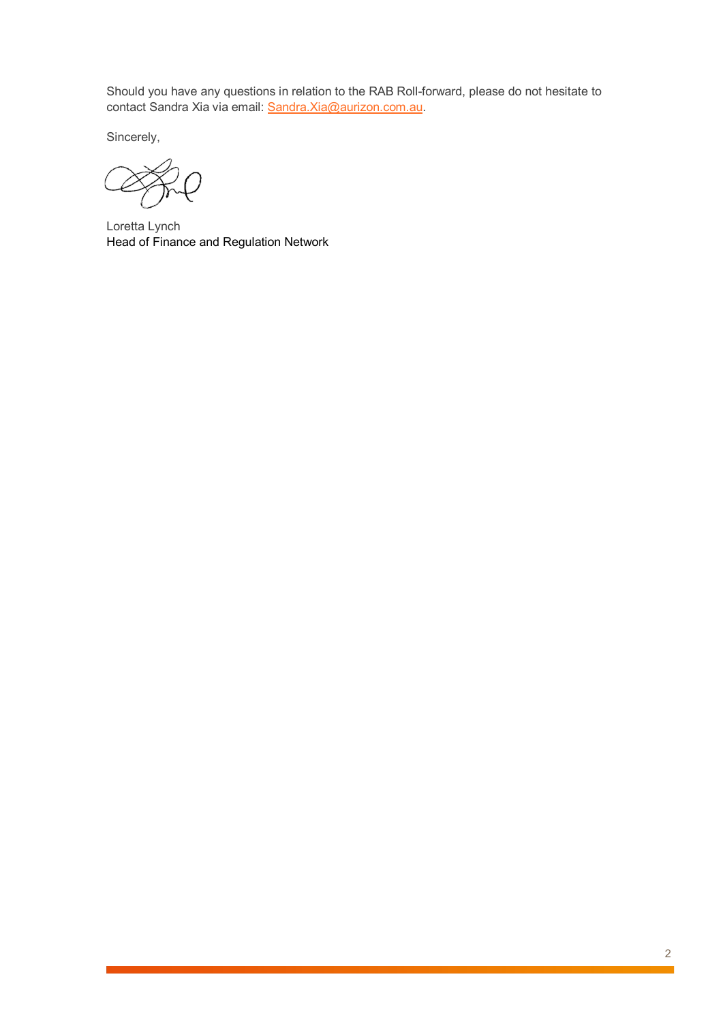Should you have any questions in relation to the RAB Roll-forward, please do not hesitate to contact Sandra Xia via email: [Sandra.Xia@aurizon.com.au.](mailto:Sandra.Xia@aurizon.com.au)

Sincerely,

Loretta Lynch Head of Finance and Regulation Network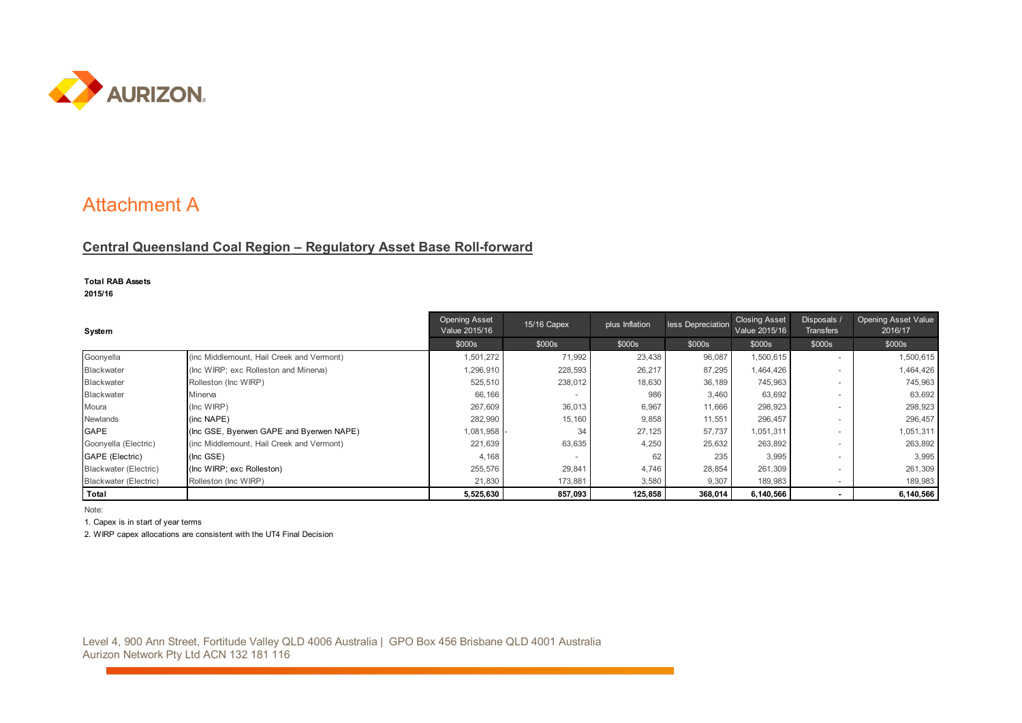

## Attachment A

## **Central Queensland Coal Region – Regulatory Asset Base Roll-forward**

## **Total RAB Assets**

**2015/16**

| System                |                                           | <b>Opening Asset</b><br>Value 2015/16 | 15/16 Capex | plus Inflation | less Depreciation | <b>Closing Asset</b><br>Value 2015/16 | Disposals /<br><b>Transfers</b> | <b>Opening Asset Value</b><br>2016/17 |
|-----------------------|-------------------------------------------|---------------------------------------|-------------|----------------|-------------------|---------------------------------------|---------------------------------|---------------------------------------|
|                       |                                           | \$000s                                | \$000s      | \$000s         | \$000s            | \$000s                                | \$000s                          | \$000s                                |
| Goonyella             | (inc Middlemount, Hail Creek and Vermont) | 1,501,272                             | 71,992      | 23,438         | 96,087            | 1,500,615                             | $\overline{\phantom{a}}$        | 1,500,615                             |
| <b>Blackwater</b>     | (Inc WIRP; exc Rolleston and Minerva)     | 1,296,910                             | 228,593     | 26,217         | 87,295            | 1,464,426                             |                                 | 1,464,426                             |
| <b>Blackwater</b>     | Rolleston (Inc WIRP)                      | 525,510                               | 238,012     | 18,630         | 36,189            | 745,963                               |                                 | 745,963                               |
| <b>Blackwater</b>     | Minerva                                   | 66,166                                |             | 986            | 3,460             | 63,692                                |                                 | 63,692                                |
| Moura                 | (Inc WIRP)                                | 267,609                               | 36,013      | 6,967          | 11,666            | 298,923                               |                                 | 298,923                               |
| <b>Newlands</b>       | (inc NAPE)                                | 282,990                               | 15,160      | 9,858          | 11,551            | 296,457                               |                                 | 296,457                               |
| GAPE                  | (Inc GSE, Byerwen GAPE and Byerwen NAPE)  | 1,081,958                             | 34          | 27,125         | 57,737            | 1,051,311                             |                                 | 1,051,311                             |
| Goonyella (Electric)  | (inc Middlemount, Hail Creek and Vermont) | 221,639                               | 63,635      | 4,250          | 25,632            | 263,892                               |                                 | 263,892                               |
| GAPE (Electric)       | (Inc GSE)                                 | 4,168                                 |             | 62             | 235               | 3,995                                 | $\sim$                          | 3,995                                 |
| Blackwater (Electric) | (Inc WIRP; exc Rolleston)                 | 255,576                               | 29,841      | 4,746          | 28,854            | 261,309                               |                                 | 261,309                               |
| Blackwater (Electric) | Rolleston (Inc WIRP)                      | 21,830                                | 173,881     | 3,580          | 9,307             | 189,983                               |                                 | 189,983                               |
| Total                 |                                           | 5,525,630                             | 857,093     | 125,858        | 368,014           | 6.140.566                             |                                 | 6,140,566                             |

Note:

1. Capex is in start of year terms

2. WIRP capex allocations are consistent with the UT4 Final Decision

Level 4, 900 Ann Street, Fortitude Valley QLD 4006 Australia | GPO Box 456 Brisbane QLD 4001 Australia Aurizon Network Pty Ltd ACN 132 181 116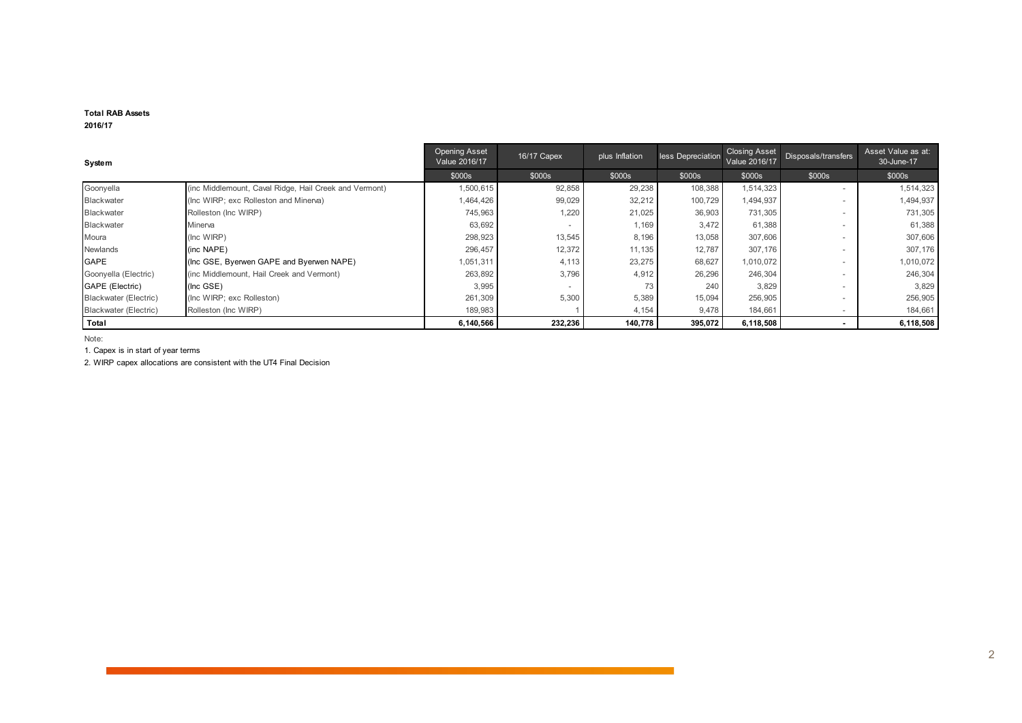#### **Total RAB Assets 2016/17**

| System                 |                                                        | <b>Opening Asset</b><br>Value 2016/17 | 16/17 Capex | plus Inflation | less Depreciation | <b>Closing Asset</b><br>Value 2016/17 | Disposals/transfers      | Asset Value as at:<br>30-June-17 |
|------------------------|--------------------------------------------------------|---------------------------------------|-------------|----------------|-------------------|---------------------------------------|--------------------------|----------------------------------|
|                        |                                                        | \$000s                                | \$000s      | \$000s         | \$000s            | \$000s                                | \$000s                   | \$000s                           |
| Goonyella              | (inc Middlemount, Caval Ridge, Hail Creek and Vermont) | 1,500,615                             | 92,858      | 29,238         | 108,388           | 1,514,323                             | $\,$                     | 1,514,323                        |
| <b>Blackwater</b>      | (Inc WIRP; exc Rolleston and Minerva)                  | 1,464,426                             | 99,029      | 32,212         | 100,729           | 1,494,937                             | $\overline{\phantom{a}}$ | 1,494,937                        |
| Blackwater             | Rolleston (Inc WIRP)                                   | 745,963                               | 1,220       | 21,025         | 36,903            | 731,305                               | $\overline{\phantom{a}}$ | 731,305                          |
| Blackwater             | Minerva                                                | 63,692                                |             | 1,169          | 3,472             | 61,388                                | $\overline{\phantom{a}}$ | 61,388                           |
| Moura                  | (Inc WIRP)                                             | 298,923                               | 13,545      | 8,196          | 13,058            | 307,606                               | $\overline{\phantom{a}}$ | 307,606                          |
| Newlands               | (inc NAPE)                                             | 296,457                               | 12,372      | 11,135         | 12,787            | 307,176                               | $\overline{\phantom{a}}$ | 307,176                          |
| <b>GAPE</b>            | (Inc GSE, Byerwen GAPE and Byerwen NAPE)               | 1,051,311                             | 4,113       | 23,275         | 68,627            | 1,010,072                             | $\overline{\phantom{a}}$ | 1,010,072                        |
| Goonyella (Electric)   | (inc Middlemount, Hail Creek and Vermont)              | 263,892                               | 3,796       | 4,912          | 26,296            | 246,304                               |                          | 246,304                          |
| <b>GAPE</b> (Electric) | (Inc GSE)                                              | 3,995                                 |             | 73             | 240               | 3,829                                 | $\overline{\phantom{a}}$ | 3,829                            |
| Blackwater (Electric)  | (Inc WIRP; exc Rolleston)                              | 261,309                               | 5,300       | 5,389          | 15,094            | 256,905                               | $\overline{\phantom{a}}$ | 256,905                          |
| Blackwater (Electric)  | Rolleston (Inc WIRP)                                   | 189,983                               |             | 4,154          | 9,478             | 184,661                               | $\overline{\phantom{a}}$ | 184,661                          |
| Total                  |                                                        | 6,140,566                             | 232,236     | 140,778        | 395,072           | 6,118,508                             |                          | 6,118,508                        |

Note:

1. Capex is in start of year terms

2. WIRP capex allocations are consistent with the UT4 Final Decision